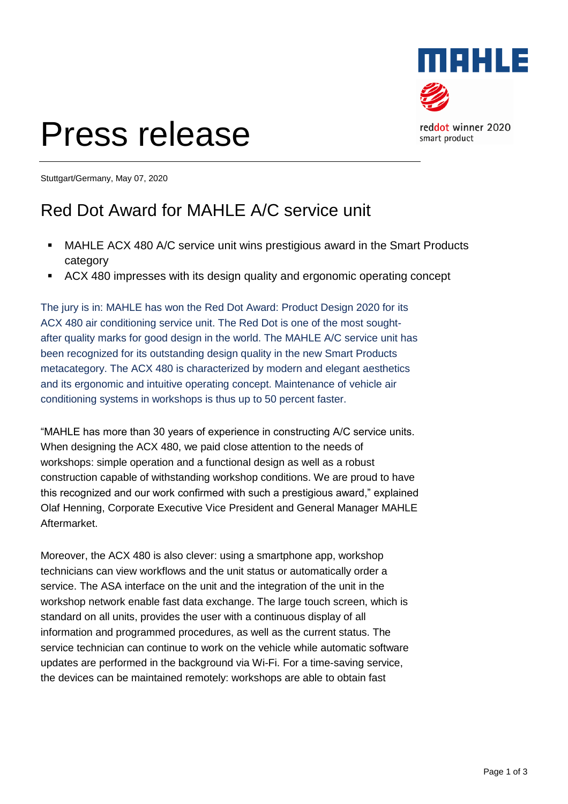

# Press release

reddot winner 2020 smart product

Stuttgart/Germany, May 07, 2020

### Red Dot Award for MAHLE A/C service unit

- MAHLE ACX 480 A/C service unit wins prestigious award in the Smart Products category
- ACX 480 impresses with its design quality and ergonomic operating concept

The jury is in: MAHLE has won the Red Dot Award: Product Design 2020 for its ACX 480 air conditioning service unit. The Red Dot is one of the most soughtafter quality marks for good design in the world. The MAHLE A/C service unit has been recognized for its outstanding design quality in the new Smart Products metacategory. The ACX 480 is characterized by modern and elegant aesthetics and its ergonomic and intuitive operating concept. Maintenance of vehicle air conditioning systems in workshops is thus up to 50 percent faster.

"MAHLE has more than 30 years of experience in constructing A/C service units. When designing the ACX 480, we paid close attention to the needs of workshops: simple operation and a functional design as well as a robust construction capable of withstanding workshop conditions. We are proud to have this recognized and our work confirmed with such a prestigious award," explained Olaf Henning, Corporate Executive Vice President and General Manager MAHLE Aftermarket.

Moreover, the ACX 480 is also clever: using a smartphone app, workshop technicians can view workflows and the unit status or automatically order a service. The ASA interface on the unit and the integration of the unit in the workshop network enable fast data exchange. The large touch screen, which is standard on all units, provides the user with a continuous display of all information and programmed procedures, as well as the current status. The service technician can continue to work on the vehicle while automatic software updates are performed in the background via Wi-Fi. For a time-saving service, the devices can be maintained remotely: workshops are able to obtain fast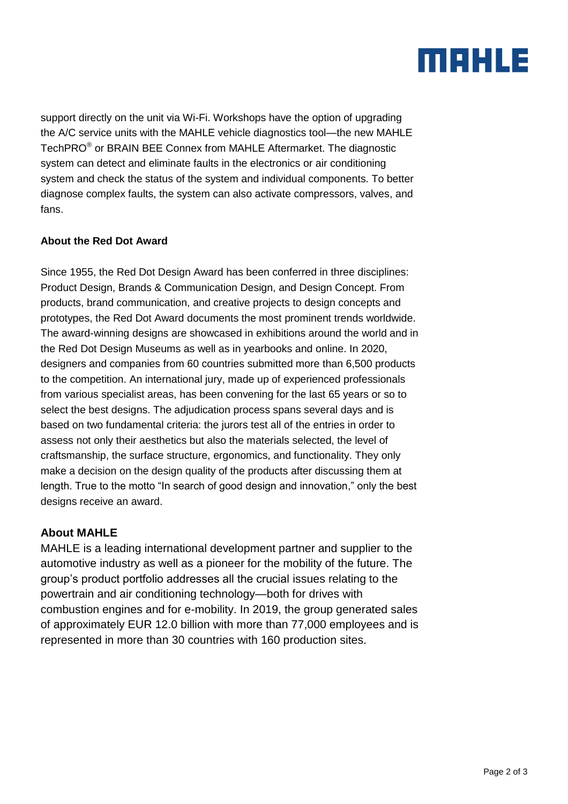## MAHLE

support directly on the unit via Wi-Fi. Workshops have the option of upgrading the A/C service units with the MAHLE vehicle diagnostics tool—the new MAHLE TechPRO<sup>®</sup> or BRAIN BEE Connex from MAHLE Aftermarket. The diagnostic system can detect and eliminate faults in the electronics or air conditioning system and check the status of the system and individual components. To better diagnose complex faults, the system can also activate compressors, valves, and fans.

#### **About the Red Dot Award**

Since 1955, the Red Dot Design Award has been conferred in three disciplines: Product Design, Brands & Communication Design, and Design Concept. From products, brand communication, and creative projects to design concepts and prototypes, the Red Dot Award documents the most prominent trends worldwide. The award-winning designs are showcased in exhibitions around the world and in the Red Dot Design Museums as well as in yearbooks and online. In 2020, designers and companies from 60 countries submitted more than 6,500 products to the competition. An international jury, made up of experienced professionals from various specialist areas, has been convening for the last 65 years or so to select the best designs. The adjudication process spans several days and is based on two fundamental criteria: the jurors test all of the entries in order to assess not only their aesthetics but also the materials selected, the level of craftsmanship, the surface structure, ergonomics, and functionality. They only make a decision on the design quality of the products after discussing them at length. True to the motto "In search of good design and innovation," only the best designs receive an award.

#### **About MAHLE**

MAHLE is a leading international development partner and supplier to the automotive industry as well as a pioneer for the mobility of the future. The group's product portfolio addresses all the crucial issues relating to the powertrain and air conditioning technology—both for drives with combustion engines and for e-mobility. In 2019, the group generated sales of approximately EUR 12.0 billion with more than 77,000 employees and is represented in more than 30 countries with 160 production sites.